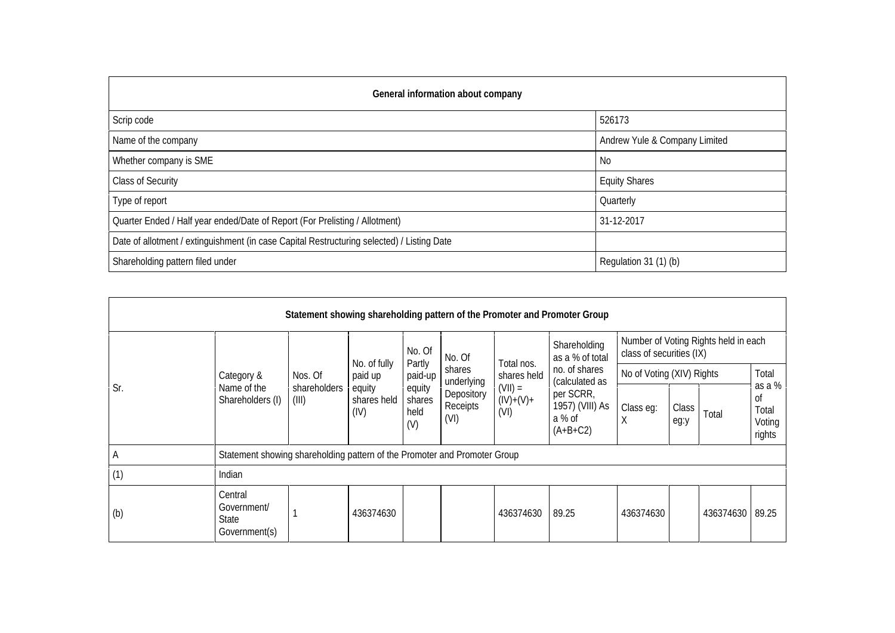| General information about company                                                          |                               |  |  |  |  |  |  |  |
|--------------------------------------------------------------------------------------------|-------------------------------|--|--|--|--|--|--|--|
| Scrip code                                                                                 | 526173                        |  |  |  |  |  |  |  |
| Name of the company                                                                        | Andrew Yule & Company Limited |  |  |  |  |  |  |  |
| Whether company is SME                                                                     | No.                           |  |  |  |  |  |  |  |
| <b>Class of Security</b>                                                                   | <b>Equity Shares</b>          |  |  |  |  |  |  |  |
| Type of report                                                                             | Quarterly                     |  |  |  |  |  |  |  |
| Quarter Ended / Half year ended/Date of Report (For Prelisting / Allotment)                | 31-12-2017                    |  |  |  |  |  |  |  |
| Date of allotment / extinguishment (in case Capital Restructuring selected) / Listing Date |                               |  |  |  |  |  |  |  |
| Shareholding pattern filed under                                                           | Regulation 31 (1) (b)         |  |  |  |  |  |  |  |

| Statement showing shareholding pattern of the Promoter and Promoter Group |                                                         |                                                                           |                                                          |                                                                |                                                                  |                                                               |                                                                                                                            |                                                                  |               |                 |                                           |  |
|---------------------------------------------------------------------------|---------------------------------------------------------|---------------------------------------------------------------------------|----------------------------------------------------------|----------------------------------------------------------------|------------------------------------------------------------------|---------------------------------------------------------------|----------------------------------------------------------------------------------------------------------------------------|------------------------------------------------------------------|---------------|-----------------|-------------------------------------------|--|
| Sr.                                                                       |                                                         | Nos. Of                                                                   | No. of fully<br>paid up<br>equity<br>shares held<br>(IV) | No. Of<br>Partly<br>paid-up<br>equity<br>shares<br>held<br>(V) | No. Of<br>shares<br>underlying<br>Depository<br>Receipts<br>(VI) | Total nos.<br>shares held<br>$(VII) =$<br>$(IV)+(V)+$<br>(VI) | Shareholding<br>as a % of total<br>no. of shares<br>(calculated as<br>per SCRR,<br>1957) (VIII) As<br>a % of<br>$(A+B+C2)$ | Number of Voting Rights held in each<br>class of securities (IX) |               |                 |                                           |  |
|                                                                           | Category &<br>Name of the<br>Shareholders (I)           |                                                                           |                                                          |                                                                |                                                                  |                                                               |                                                                                                                            | No of Voting (XIV) Rights                                        |               |                 | Total                                     |  |
|                                                                           |                                                         | shareholders<br>(III)                                                     |                                                          |                                                                |                                                                  |                                                               |                                                                                                                            | Class eg:<br>X                                                   | Class<br>eg:y | Total           | as a %<br>0f<br>Total<br>Voting<br>rights |  |
| A                                                                         |                                                         | Statement showing shareholding pattern of the Promoter and Promoter Group |                                                          |                                                                |                                                                  |                                                               |                                                                                                                            |                                                                  |               |                 |                                           |  |
| (1)                                                                       | Indian                                                  |                                                                           |                                                          |                                                                |                                                                  |                                                               |                                                                                                                            |                                                                  |               |                 |                                           |  |
| (b)                                                                       | Central<br>Government/<br><b>State</b><br>Government(s) |                                                                           | 436374630                                                |                                                                |                                                                  | 436374630                                                     | 89.25                                                                                                                      | 436374630                                                        |               | 436374630 89.25 |                                           |  |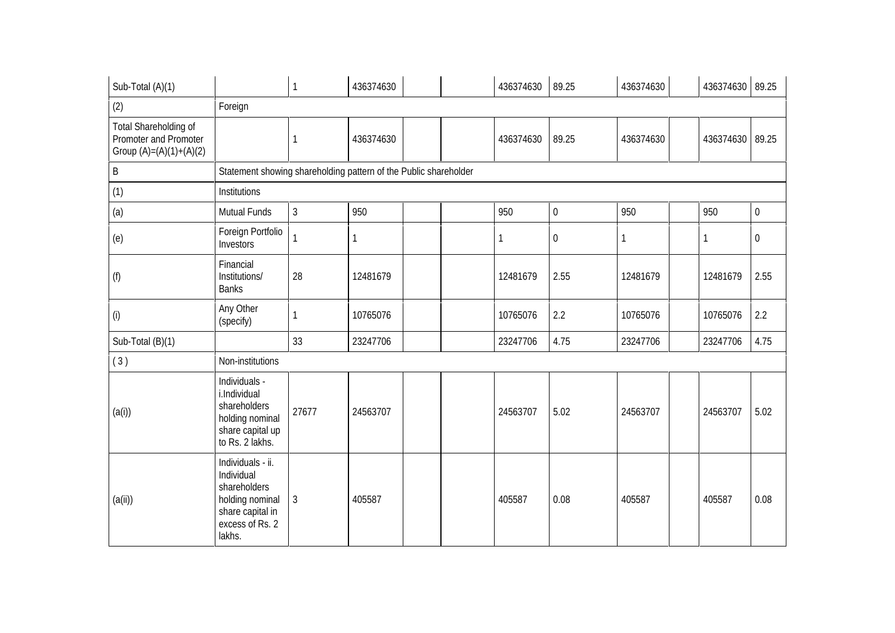| Sub-Total (A)(1)                                                            |                                                                                                                     |                | 436374630 |  |  | 436374630 | 89.25            | 436374630 |  | 436374630 89.25 |                  |  |
|-----------------------------------------------------------------------------|---------------------------------------------------------------------------------------------------------------------|----------------|-----------|--|--|-----------|------------------|-----------|--|-----------------|------------------|--|
| (2)                                                                         | Foreign                                                                                                             |                |           |  |  |           |                  |           |  |                 |                  |  |
| Total Shareholding of<br>Promoter and Promoter<br>Group $(A)=(A)(1)+(A)(2)$ |                                                                                                                     |                | 436374630 |  |  | 436374630 | 89.25            | 436374630 |  | 436374630       | 89.25            |  |
| B                                                                           | Statement showing shareholding pattern of the Public shareholder                                                    |                |           |  |  |           |                  |           |  |                 |                  |  |
| (1)                                                                         | Institutions                                                                                                        |                |           |  |  |           |                  |           |  |                 |                  |  |
| (a)                                                                         | Mutual Funds                                                                                                        | $\mathfrak{Z}$ | 950       |  |  | 950       | $\boldsymbol{0}$ | 950       |  | 950             | $\boldsymbol{0}$ |  |
| (e)                                                                         | Foreign Portfolio<br>Investors                                                                                      |                | 1         |  |  | 1         | $\boldsymbol{0}$ |           |  | 1               | 0                |  |
| (f)                                                                         | Financial<br>Institutions/<br><b>Banks</b>                                                                          | 28             | 12481679  |  |  | 12481679  | 2.55             | 12481679  |  | 12481679        | 2.55             |  |
| (i)                                                                         | Any Other<br>(specify)                                                                                              |                | 10765076  |  |  | 10765076  | 2.2              | 10765076  |  | 10765076        | 2.2              |  |
| Sub-Total (B)(1)                                                            |                                                                                                                     | 33             | 23247706  |  |  | 23247706  | 4.75             | 23247706  |  | 23247706        | 4.75             |  |
| (3)                                                                         | Non-institutions                                                                                                    |                |           |  |  |           |                  |           |  |                 |                  |  |
| (a(i))                                                                      | Individuals -<br>i.Individual<br>shareholders<br>holding nominal<br>share capital up<br>to Rs. 2 lakhs.             | 27677          | 24563707  |  |  | 24563707  | 5.02             | 24563707  |  | 24563707        | 5.02             |  |
| (a(i))                                                                      | Individuals - ii.<br>Individual<br>shareholders<br>holding nominal<br>share capital in<br>excess of Rs. 2<br>lakhs. | $\mathfrak{Z}$ | 405587    |  |  | 405587    | 0.08             | 405587    |  | 405587          | 0.08             |  |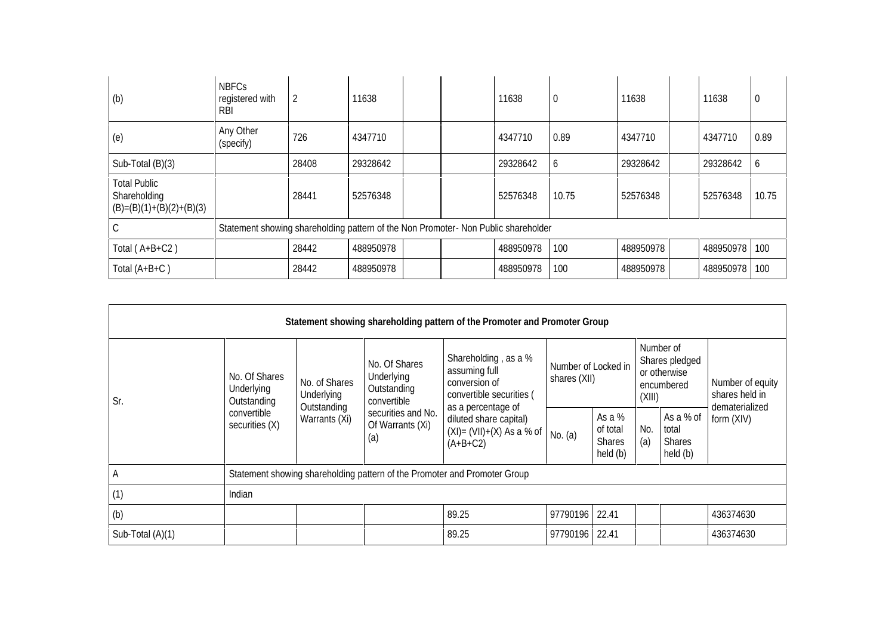| (b)                                                               | <b>NBFCs</b><br>registered with<br><b>RBI</b>                                      | 2     | 11638     |  |  | 11638     | -0    | 11638     |  | 11638     | $\Omega$ |
|-------------------------------------------------------------------|------------------------------------------------------------------------------------|-------|-----------|--|--|-----------|-------|-----------|--|-----------|----------|
| (e)                                                               | Any Other<br>(specify)                                                             | 726   | 4347710   |  |  | 4347710   | 0.89  | 4347710   |  | 4347710   | 0.89     |
| Sub-Total (B)(3)                                                  |                                                                                    | 28408 | 29328642  |  |  | 29328642  | b     | 29328642  |  | 29328642  | b        |
| <b>Total Public</b><br>Shareholding<br>$(B)=(B)(1)+(B)(2)+(B)(3)$ |                                                                                    | 28441 | 52576348  |  |  | 52576348  | 10.75 | 52576348  |  | 52576348  | 10.75    |
| J                                                                 | Statement showing shareholding pattern of the Non Promoter- Non Public shareholder |       |           |  |  |           |       |           |  |           |          |
| Total $(A+B+C2)$                                                  |                                                                                    | 28442 | 488950978 |  |  | 488950978 | 100   | 488950978 |  | 488950978 | 100      |
| Total (A+B+C)                                                     |                                                                                    | 28442 | 488950978 |  |  | 488950978 | 100   | 488950978 |  | 488950978 | 100      |

| Statement showing shareholding pattern of the Promoter and Promoter Group |                                            |                                                                           |                                                                                                            |                                                                                                          |                                     |                                                |            |                                                           |                                    |  |  |
|---------------------------------------------------------------------------|--------------------------------------------|---------------------------------------------------------------------------|------------------------------------------------------------------------------------------------------------|----------------------------------------------------------------------------------------------------------|-------------------------------------|------------------------------------------------|------------|-----------------------------------------------------------|------------------------------------|--|--|
| Sr.                                                                       | No. Of Shares<br>Underlying<br>Outstanding | No. of Shares<br>Underlying                                               | No. Of Shares<br>Underlying<br>Outstanding<br>convertible<br>securities and No.<br>Of Warrants (Xi)<br>(a) | Shareholding, as a %<br>assuming full<br>conversion of<br>convertible securities (<br>as a percentage of | Number of Locked in<br>shares (XII) |                                                | (XIII)     | Number of<br>Shares pledged<br>or otherwise<br>encumbered | Number of equity<br>shares held in |  |  |
|                                                                           | convertible<br>securities (X)              | Outstanding<br>Warrants (Xi)                                              |                                                                                                            | diluted share capital)<br>$(XI) = (VII)+(X)$ As a % of<br>$(A+B+C2)$                                     | No. (a)                             | As a %<br>of total<br><b>Shares</b><br>held(b) | No.<br>(a) | As a % of<br>total<br><b>Shares</b><br>held (b)           | dematerialized<br>form (XIV)       |  |  |
| A                                                                         |                                            | Statement showing shareholding pattern of the Promoter and Promoter Group |                                                                                                            |                                                                                                          |                                     |                                                |            |                                                           |                                    |  |  |
| (1)                                                                       | Indian                                     |                                                                           |                                                                                                            |                                                                                                          |                                     |                                                |            |                                                           |                                    |  |  |
| (b)                                                                       |                                            |                                                                           |                                                                                                            | 89.25                                                                                                    | 97790196 22.41                      |                                                |            |                                                           | 436374630                          |  |  |
| Sub-Total (A)(1)                                                          |                                            |                                                                           |                                                                                                            | 89.25                                                                                                    | 97790196 22.41                      |                                                |            |                                                           | 436374630                          |  |  |